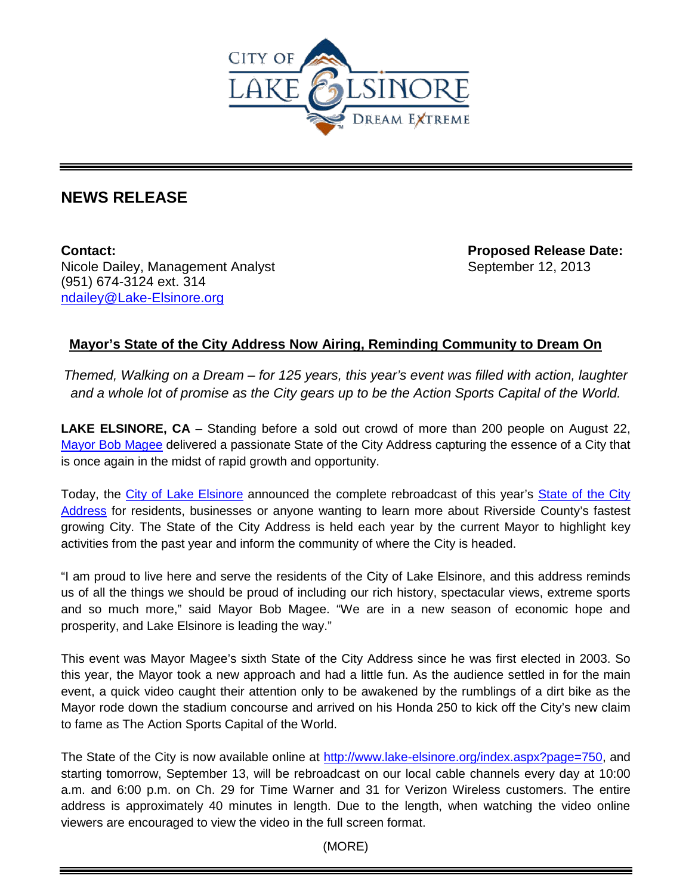

## **NEWS RELEASE**

**Contact: Proposed Release Date: Proposed Release Date: Proposed Release Date:** Nicole Dailey, Management Analyst September 12, 2013 (951) 674-3124 ext. 314 [ndailey@Lake-Elsinore.org](mailto:ndailey@Lake-Elsinore.org)

## **Mayor's State of the City Address Now Airing, Reminding Community to Dream On**

*Themed, Walking on a Dream – for 125 years, this year's event was filled with action, laughter and a whole lot of promise as the City gears up to be the Action Sports Capital of the World.* 

**LAKE ELSINORE, CA** – Standing before a sold out crowd of more than 200 people on August 22, [Mayor Bob Magee](http://www.lake-elsinore.org/index.aspx?page=337) delivered a passionate State of the City Address capturing the essence of a City that is once again in the midst of rapid growth and opportunity.

Today, the [City of Lake Elsinore](http://www.lake-elsinore.org/) announced the complete rebroadcast of this year's [State of the City](http://lake-elsinore.granicus.com/MediaPlayer.php?publish_id=21fe744d-6d24-1031-b11f-4c2dfb660b07&embed=1)  [Address](http://lake-elsinore.granicus.com/MediaPlayer.php?publish_id=21fe744d-6d24-1031-b11f-4c2dfb660b07&embed=1) for residents, businesses or anyone wanting to learn more about Riverside County's fastest growing City. The State of the City Address is held each year by the current Mayor to highlight key activities from the past year and inform the community of where the City is headed.

"I am proud to live here and serve the residents of the City of Lake Elsinore, and this address reminds us of all the things we should be proud of including our rich history, spectacular views, extreme sports and so much more," said Mayor Bob Magee. "We are in a new season of economic hope and prosperity, and Lake Elsinore is leading the way."

This event was Mayor Magee's sixth State of the City Address since he was first elected in 2003. So this year, the Mayor took a new approach and had a little fun. As the audience settled in for the main event, a quick video caught their attention only to be awakened by the rumblings of a dirt bike as the Mayor rode down the stadium concourse and arrived on his Honda 250 to kick off the City's new claim to fame as The Action Sports Capital of the World.

The State of the City is now available online at [http://www.lake-elsinore.org/index.aspx?page=750,](http://www.lake-elsinore.org/index.aspx?page=750) and starting tomorrow, September 13, will be rebroadcast on our local cable channels every day at 10:00 a.m. and 6:00 p.m. on Ch. 29 for Time Warner and 31 for Verizon Wireless customers. The entire address is approximately 40 minutes in length. Due to the length, when watching the video online viewers are encouraged to view the video in the full screen format.

(MORE)